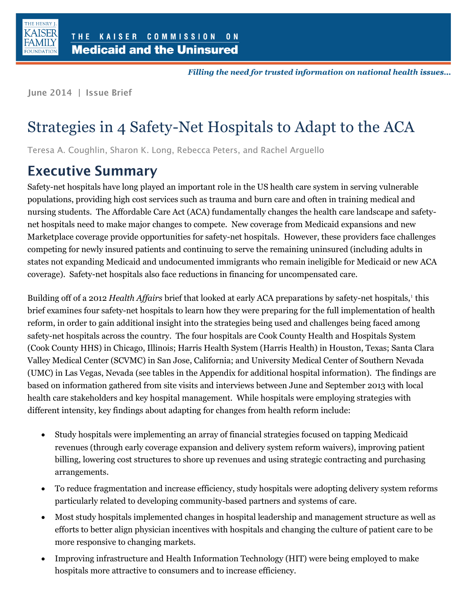

Filling the need for trusted information on national health issues...

June 2014 | Issue Brief

# Strategies in 4 Safety-Net Hospitals to Adapt to the ACA

Teresa A. Coughlin, Sharon K. Long, Rebecca Peters, and Rachel Arguello

### **Executive Summary**

Safety-net hospitals have long played an important role in the US health care system in serving vulnerable populations, providing high cost services such as trauma and burn care and often in training medical and nursing students. The Affordable Care Act (ACA) fundamentally changes the health care landscape and safetynet hospitals need to make major changes to compete. New coverage from Medicaid expansions and new Marketplace coverage provide opportunities for safety-net hospitals. However, these providers face challenges competing for newly insured patients and continuing to serve the remaining uninsured (including adults in states not expanding Medicaid and undocumented immigrants who remain ineligible for Medicaid or new ACA coverage). Safety-net hospitals also face reductions in financing for uncompensated care.

Building off of a 2012 *Health Affairs* brief that looked at early ACA preparations by safety-net hospitals,<sup>1</sup> this brief examines four safety-net hospitals to learn how they were preparing for the full implementation of health reform, in order to gain additional insight into the strategies being used and challenges being faced among safety-net hospitals across the country. The four hospitals are Cook County Health and Hospitals System (Cook County HHS) in Chicago, Illinois; Harris Health System (Harris Health) in Houston, Texas; Santa Clara Valley Medical Center (SCVMC) in San Jose, California; and University Medical Center of Southern Nevada (UMC) in Las Vegas, Nevada (see tables in the Appendix for additional hospital information). The findings are based on information gathered from site visits and interviews between June and September 2013 with local health care stakeholders and key hospital management. While hospitals were employing strategies with different intensity, key findings about adapting for changes from health reform include:

- Study hospitals were implementing an array of financial strategies focused on tapping Medicaid revenues (through early coverage expansion and delivery system reform waivers), improving patient billing, lowering cost structures to shore up revenues and using strategic contracting and purchasing arrangements.
- To reduce fragmentation and increase efficiency, study hospitals were adopting delivery system reforms particularly related to developing community-based partners and systems of care.
- Most study hospitals implemented changes in hospital leadership and management structure as well as efforts to better align physician incentives with hospitals and changing the culture of patient care to be more responsive to changing markets.
- Improving infrastructure and Health Information Technology (HIT) were being employed to make hospitals more attractive to consumers and to increase efficiency.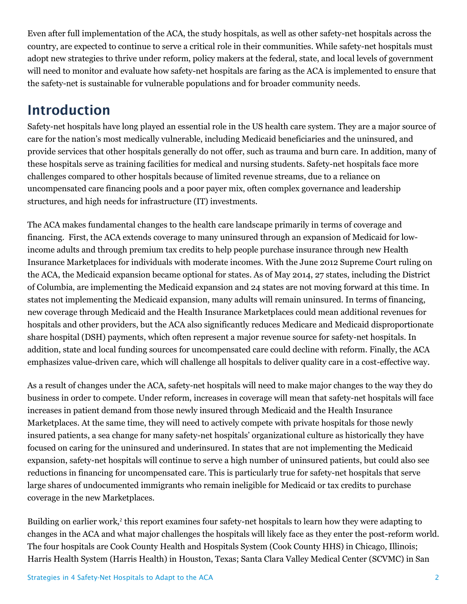Even after full implementation of the ACA, the study hospitals, as well as other safety-net hospitals across the country, are expected to continue to serve a critical role in their communities. While safety-net hospitals must adopt new strategies to thrive under reform, policy makers at the federal, state, and local levels of government will need to monitor and evaluate how safety-net hospitals are faring as the ACA is implemented to ensure that the safety-net is sustainable for vulnerable populations and for broader community needs.

### **Introduction**

Safety-net hospitals have long played an essential role in the US health care system. They are a major source of care for the nation's most medically vulnerable, including Medicaid beneficiaries and the uninsured, and provide services that other hospitals generally do not offer, such as trauma and burn care. In addition, many of these hospitals serve as training facilities for medical and nursing students. Safety-net hospitals face more challenges compared to other hospitals because of limited revenue streams, due to a reliance on uncompensated care financing pools and a poor payer mix, often complex governance and leadership structures, and high needs for infrastructure (IT) investments.

The ACA makes fundamental changes to the health care landscape primarily in terms of coverage and financing. First, the ACA extends coverage to many uninsured through an expansion of Medicaid for lowincome adults and through premium tax credits to help people purchase insurance through new Health Insurance Marketplaces for individuals with moderate incomes. With the June 2012 Supreme Court ruling on the ACA, the Medicaid expansion became optional for states. As of May 2014, 27 states, including the District of Columbia, are implementing the Medicaid expansion and 24 states are not moving forward at this time. In states not implementing the Medicaid expansion, many adults will remain uninsured. In terms of financing, new coverage through Medicaid and the Health Insurance Marketplaces could mean additional revenues for hospitals and other providers, but the ACA also significantly reduces Medicare and Medicaid disproportionate share hospital (DSH) payments, which often represent a major revenue source for safety-net hospitals. In addition, state and local funding sources for uncompensated care could decline with reform. Finally, the ACA emphasizes value-driven care, which will challenge all hospitals to deliver quality care in a cost-effective way.

As a result of changes under the ACA, safety-net hospitals will need to make major changes to the way they do business in order to compete. Under reform, increases in coverage will mean that safety-net hospitals will face increases in patient demand from those newly insured through Medicaid and the Health Insurance Marketplaces. At the same time, they will need to actively compete with private hospitals for those newly insured patients, a sea change for many safety-net hospitals' organizational culture as historically they have focused on caring for the uninsured and underinsured. In states that are not implementing the Medicaid expansion, safety-net hospitals will continue to serve a high number of uninsured patients, but could also see reductions in financing for uncompensated care. This is particularly true for safety-net hospitals that serve large shares of undocumented immigrants who remain ineligible for Medicaid or tax credits to purchase coverage in the new Marketplaces.

Building on earlier work,<sup>2</sup> this report examines four safety-net hospitals to learn how they were adapting to changes in the ACA and what major challenges the hospitals will likely face as they enter the post-reform world. The four hospitals are Cook County Health and Hospitals System (Cook County HHS) in Chicago, Illinois; Harris Health System (Harris Health) in Houston, Texas; Santa Clara Valley Medical Center (SCVMC) in San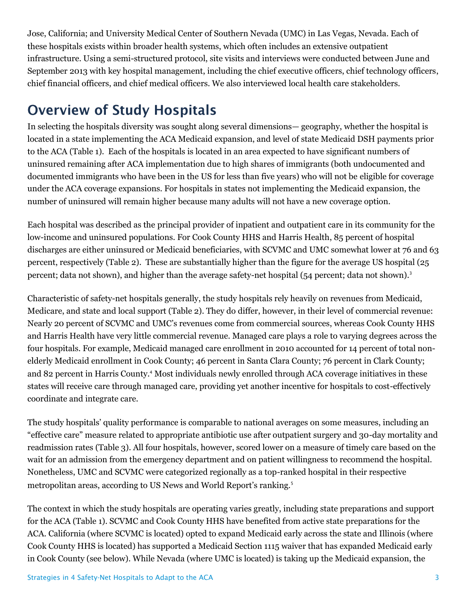Jose, California; and University Medical Center of Southern Nevada (UMC) in Las Vegas, Nevada. Each of these hospitals exists within broader health systems, which often includes an extensive outpatient infrastructure. Using a semi-structured protocol, site visits and interviews were conducted between June and September 2013 with key hospital management, including the chief executive officers, chief technology officers, chief financial officers, and chief medical officers. We also interviewed local health care stakeholders.

### **Overview of Study Hospitals**

In selecting the hospitals diversity was sought along several dimensions— geography, whether the hospital is located in a state implementing the ACA Medicaid expansion, and level of state Medicaid DSH payments prior to the ACA (Table 1). Each of the hospitals is located in an area expected to have significant numbers of uninsured remaining after ACA implementation due to high shares of immigrants (both undocumented and documented immigrants who have been in the US for less than five years) who will not be eligible for coverage under the ACA coverage expansions. For hospitals in states not implementing the Medicaid expansion, the number of uninsured will remain higher because many adults will not have a new coverage option.

Each hospital was described as the principal provider of inpatient and outpatient care in its community for the low-income and uninsured populations. For Cook County HHS and Harris Health, 85 percent of hospital discharges are either uninsured or Medicaid beneficiaries, with SCVMC and UMC somewhat lower at 76 and 63 percent, respectively (Table 2). These are substantially higher than the figure for the average US hospital (25 percent; data not shown), and higher than the average safety-net hospital (54 percent; data not shown).<sup>3</sup>

Characteristic of safety-net hospitals generally, the study hospitals rely heavily on revenues from Medicaid, Medicare, and state and local support (Table 2). They do differ, however, in their level of commercial revenue: Nearly 20 percent of SCVMC and UMC's revenues come from commercial sources, whereas Cook County HHS and Harris Health have very little commercial revenue. Managed care plays a role to varying degrees across the four hospitals. For example, Medicaid managed care enrollment in 2010 accounted for 14 percent of total nonelderly Medicaid enrollment in Cook County; 46 percent in Santa Clara County; 76 percent in Clark County; and 82 percent in Harris County.<sup>4</sup> Most individuals newly enrolled through ACA coverage initiatives in these states will receive care through managed care, providing yet another incentive for hospitals to cost-effectively coordinate and integrate care.

The study hospitals' quality performance is comparable to national averages on some measures, including an "effective care" measure related to appropriate antibiotic use after outpatient surgery and 30-day mortality and readmission rates (Table 3). All four hospitals, however, scored lower on a measure of timely care based on the wait for an admission from the emergency department and on patient willingness to recommend the hospital. Nonetheless, UMC and SCVMC were categorized regionally as a top-ranked hospital in their respective metropolitan areas, according to US News and World Report's ranking.<sup>5</sup>

The context in which the study hospitals are operating varies greatly, including state preparations and support for the ACA (Table 1). SCVMC and Cook County HHS have benefited from active state preparations for the ACA. California (where SCVMC is located) opted to expand Medicaid early across the state and Illinois (where Cook County HHS is located) has supported a Medicaid Section 1115 waiver that has expanded Medicaid early in Cook County (see below). While Nevada (where UMC is located) is taking up the Medicaid expansion, the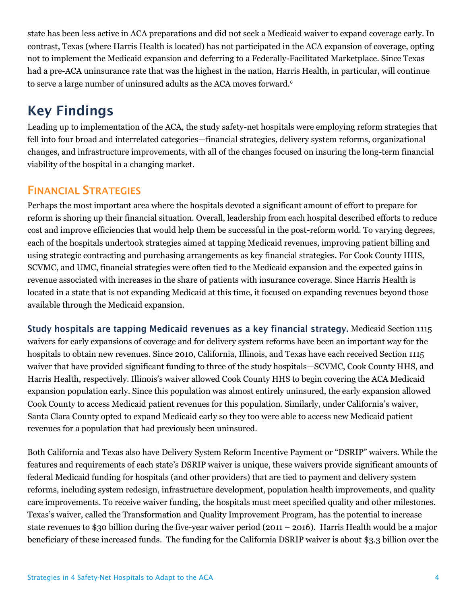state has been less active in ACA preparations and did not seek a Medicaid waiver to expand coverage early. In contrast, Texas (where Harris Health is located) has not participated in the ACA expansion of coverage, opting not to implement the Medicaid expansion and deferring to a Federally-Facilitated Marketplace. Since Texas had a pre-ACA uninsurance rate that was the highest in the nation, Harris Health, in particular, will continue to serve a large number of uninsured adults as the ACA moves forward.<sup>6</sup>

### **Key Findings**

Leading up to implementation of the ACA, the study safety-net hospitals were employing reform strategies that fell into four broad and interrelated categories—financial strategies, delivery system reforms, organizational changes, and infrastructure improvements, with all of the changes focused on insuring the long-term financial viability of the hospital in a changing market.

### **FINANCIAL STRATEGIES**

Perhaps the most important area where the hospitals devoted a significant amount of effort to prepare for reform is shoring up their financial situation. Overall, leadership from each hospital described efforts to reduce cost and improve efficiencies that would help them be successful in the post-reform world. To varying degrees, each of the hospitals undertook strategies aimed at tapping Medicaid revenues, improving patient billing and using strategic contracting and purchasing arrangements as key financial strategies. For Cook County HHS, SCVMC, and UMC, financial strategies were often tied to the Medicaid expansion and the expected gains in revenue associated with increases in the share of patients with insurance coverage. Since Harris Health is located in a state that is not expanding Medicaid at this time, it focused on expanding revenues beyond those available through the Medicaid expansion.

Study hospitals are tapping Medicaid revenues as a key financial strategy. Medicaid Section 1115 waivers for early expansions of coverage and for delivery system reforms have been an important way for the hospitals to obtain new revenues. Since 2010, California, Illinois, and Texas have each received Section 1115 waiver that have provided significant funding to three of the study hospitals—SCVMC, Cook County HHS, and Harris Health, respectively. Illinois's waiver allowed Cook County HHS to begin covering the ACA Medicaid expansion population early. Since this population was almost entirely uninsured, the early expansion allowed Cook County to access Medicaid patient revenues for this population. Similarly, under California's waiver, Santa Clara County opted to expand Medicaid early so they too were able to access new Medicaid patient revenues for a population that had previously been uninsured.

Both California and Texas also have Delivery System Reform Incentive Payment or "DSRIP" waivers. While the features and requirements of each state's DSRIP waiver is unique, these waivers provide significant amounts of federal Medicaid funding for hospitals (and other providers) that are tied to payment and delivery system reforms, including system redesign, infrastructure development, population health improvements, and quality care improvements. To receive waiver funding, the hospitals must meet specified quality and other milestones. Texas's waiver, called the Transformation and Quality Improvement Program, has the potential to increase state revenues to \$30 billion during the five-year waiver period (2011 – 2016). Harris Health would be a major beneficiary of these increased funds. The funding for the California DSRIP waiver is about \$3.3 billion over the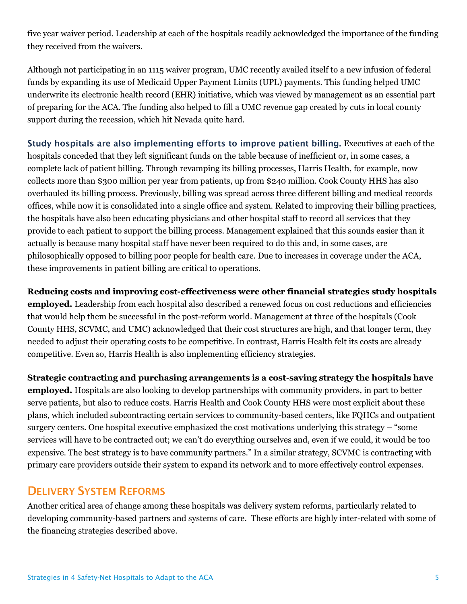five year waiver period. Leadership at each of the hospitals readily acknowledged the importance of the funding they received from the waivers.

Although not participating in an 1115 waiver program, UMC recently availed itself to a new infusion of federal funds by expanding its use of Medicaid Upper Payment Limits (UPL) payments. This funding helped UMC underwrite its electronic health record (EHR) initiative, which was viewed by management as an essential part of preparing for the ACA. The funding also helped to fill a UMC revenue gap created by cuts in local county support during the recession, which hit Nevada quite hard.

Study hospitals are also implementing efforts to improve patient billing. Executives at each of the hospitals conceded that they left significant funds on the table because of inefficient or, in some cases, a complete lack of patient billing. Through revamping its billing processes, Harris Health, for example, now collects more than \$300 million per year from patients, up from \$240 million. Cook County HHS has also overhauled its billing process. Previously, billing was spread across three different billing and medical records offices, while now it is consolidated into a single office and system. Related to improving their billing practices, the hospitals have also been educating physicians and other hospital staff to record all services that they provide to each patient to support the billing process. Management explained that this sounds easier than it actually is because many hospital staff have never been required to do this and, in some cases, are philosophically opposed to billing poor people for health care. Due to increases in coverage under the ACA, these improvements in patient billing are critical to operations.

**Reducing costs and improving cost-effectiveness were other financial strategies study hospitals employed.** Leadership from each hospital also described a renewed focus on cost reductions and efficiencies that would help them be successful in the post-reform world. Management at three of the hospitals (Cook County HHS, SCVMC, and UMC) acknowledged that their cost structures are high, and that longer term, they needed to adjust their operating costs to be competitive. In contrast, Harris Health felt its costs are already competitive. Even so, Harris Health is also implementing efficiency strategies.

**Strategic contracting and purchasing arrangements is a cost-saving strategy the hospitals have employed.** Hospitals are also looking to develop partnerships with community providers, in part to better serve patients, but also to reduce costs. Harris Health and Cook County HHS were most explicit about these plans, which included subcontracting certain services to community-based centers, like FQHCs and outpatient surgery centers. One hospital executive emphasized the cost motivations underlying this strategy – "some services will have to be contracted out; we can't do everything ourselves and, even if we could, it would be too expensive. The best strategy is to have community partners." In a similar strategy, SCVMC is contracting with primary care providers outside their system to expand its network and to more effectively control expenses.

#### **DELIVERY SYSTEM REFORMS**

Another critical area of change among these hospitals was delivery system reforms, particularly related to developing community-based partners and systems of care. These efforts are highly inter-related with some of the financing strategies described above.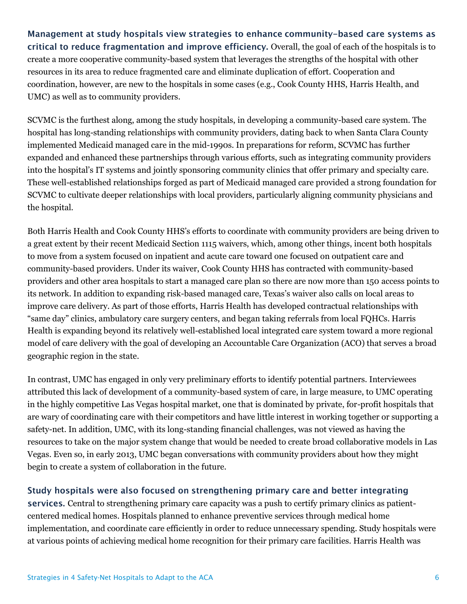Management at study hospitals view strategies to enhance community-based care systems as critical to reduce fragmentation and improve efficiency. Overall, the goal of each of the hospitals is to create a more cooperative community-based system that leverages the strengths of the hospital with other resources in its area to reduce fragmented care and eliminate duplication of effort. Cooperation and coordination, however, are new to the hospitals in some cases (e.g., Cook County HHS, Harris Health, and UMC) as well as to community providers.

SCVMC is the furthest along, among the study hospitals, in developing a community-based care system. The hospital has long-standing relationships with community providers, dating back to when Santa Clara County implemented Medicaid managed care in the mid-1990s. In preparations for reform, SCVMC has further expanded and enhanced these partnerships through various efforts, such as integrating community providers into the hospital's IT systems and jointly sponsoring community clinics that offer primary and specialty care. These well-established relationships forged as part of Medicaid managed care provided a strong foundation for SCVMC to cultivate deeper relationships with local providers, particularly aligning community physicians and the hospital.

Both Harris Health and Cook County HHS's efforts to coordinate with community providers are being driven to a great extent by their recent Medicaid Section 1115 waivers, which, among other things, incent both hospitals to move from a system focused on inpatient and acute care toward one focused on outpatient care and community-based providers. Under its waiver, Cook County HHS has contracted with community-based providers and other area hospitals to start a managed care plan so there are now more than 150 access points to its network. In addition to expanding risk-based managed care, Texas's waiver also calls on local areas to improve care delivery. As part of those efforts, Harris Health has developed contractual relationships with "same day" clinics, ambulatory care surgery centers, and began taking referrals from local FQHCs. Harris Health is expanding beyond its relatively well-established local integrated care system toward a more regional model of care delivery with the goal of developing an Accountable Care Organization (ACO) that serves a broad geographic region in the state.

In contrast, UMC has engaged in only very preliminary efforts to identify potential partners. Interviewees attributed this lack of development of a community-based system of care, in large measure, to UMC operating in the highly competitive Las Vegas hospital market, one that is dominated by private, for-profit hospitals that are wary of coordinating care with their competitors and have little interest in working together or supporting a safety-net. In addition, UMC, with its long-standing financial challenges, was not viewed as having the resources to take on the major system change that would be needed to create broad collaborative models in Las Vegas. Even so, in early 2013, UMC began conversations with community providers about how they might begin to create a system of collaboration in the future.

#### Study hospitals were also focused on strengthening primary care and better integrating

services. Central to strengthening primary care capacity was a push to certify primary clinics as patientcentered medical homes. Hospitals planned to enhance preventive services through medical home implementation, and coordinate care efficiently in order to reduce unnecessary spending. Study hospitals were at various points of achieving medical home recognition for their primary care facilities. Harris Health was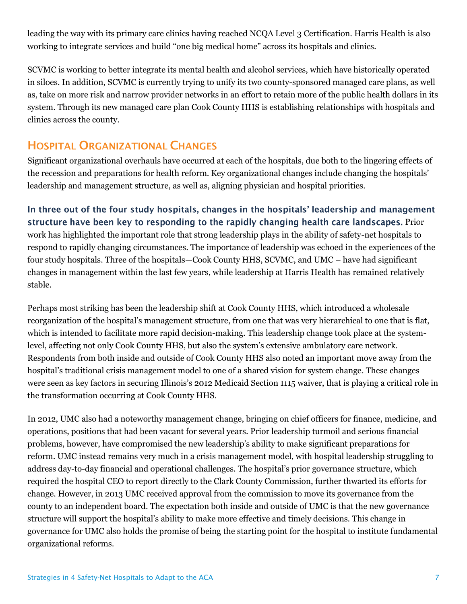leading the way with its primary care clinics having reached NCQA Level 3 Certification. Harris Health is also working to integrate services and build "one big medical home" across its hospitals and clinics.

SCVMC is working to better integrate its mental health and alcohol services, which have historically operated in siloes. In addition, SCVMC is currently trying to unify its two county-sponsored managed care plans, as well as, take on more risk and narrow provider networks in an effort to retain more of the public health dollars in its system. Through its new managed care plan Cook County HHS is establishing relationships with hospitals and clinics across the county.

### **HOSPITAL ORGANIZATIONAL CHANGES**

Significant organizational overhauls have occurred at each of the hospitals, due both to the lingering effects of the recession and preparations for health reform. Key organizational changes include changing the hospitals' leadership and management structure, as well as, aligning physician and hospital priorities.

In three out of the four study hospitals, changes in the hospitals' leadership and management structure have been key to responding to the rapidly changing health care landscapes. Prior work has highlighted the important role that strong leadership plays in the ability of safety-net hospitals to respond to rapidly changing circumstances. The importance of leadership was echoed in the experiences of the four study hospitals. Three of the hospitals—Cook County HHS, SCVMC, and UMC – have had significant changes in management within the last few years, while leadership at Harris Health has remained relatively stable.

Perhaps most striking has been the leadership shift at Cook County HHS, which introduced a wholesale reorganization of the hospital's management structure, from one that was very hierarchical to one that is flat, which is intended to facilitate more rapid decision-making. This leadership change took place at the systemlevel, affecting not only Cook County HHS, but also the system's extensive ambulatory care network. Respondents from both inside and outside of Cook County HHS also noted an important move away from the hospital's traditional crisis management model to one of a shared vision for system change. These changes were seen as key factors in securing Illinois's 2012 Medicaid Section 1115 waiver, that is playing a critical role in the transformation occurring at Cook County HHS.

In 2012, UMC also had a noteworthy management change, bringing on chief officers for finance, medicine, and operations, positions that had been vacant for several years. Prior leadership turmoil and serious financial problems, however, have compromised the new leadership's ability to make significant preparations for reform. UMC instead remains very much in a crisis management model, with hospital leadership struggling to address day-to-day financial and operational challenges. The hospital's prior governance structure, which required the hospital CEO to report directly to the Clark County Commission, further thwarted its efforts for change. However, in 2013 UMC received approval from the commission to move its governance from the county to an independent board. The expectation both inside and outside of UMC is that the new governance structure will support the hospital's ability to make more effective and timely decisions. This change in governance for UMC also holds the promise of being the starting point for the hospital to institute fundamental organizational reforms.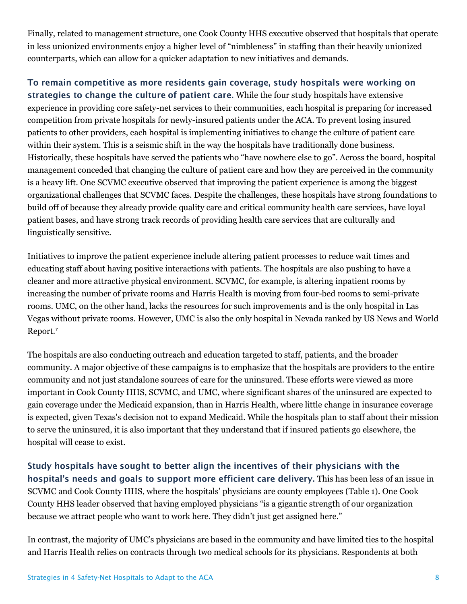Finally, related to management structure, one Cook County HHS executive observed that hospitals that operate in less unionized environments enjoy a higher level of "nimbleness" in staffing than their heavily unionized counterparts, which can allow for a quicker adaptation to new initiatives and demands.

#### To remain competitive as more residents gain coverage, study hospitals were working on strategies to change the culture of patient care. While the four study hospitals have extensive experience in providing core safety-net services to their communities, each hospital is preparing for increased competition from private hospitals for newly-insured patients under the ACA. To prevent losing insured patients to other providers, each hospital is implementing initiatives to change the culture of patient care within their system. This is a seismic shift in the way the hospitals have traditionally done business. Historically, these hospitals have served the patients who "have nowhere else to go". Across the board, hospital management conceded that changing the culture of patient care and how they are perceived in the community is a heavy lift. One SCVMC executive observed that improving the patient experience is among the biggest organizational challenges that SCVMC faces. Despite the challenges, these hospitals have strong foundations to build off of because they already provide quality care and critical community health care services, have loyal patient bases, and have strong track records of providing health care services that are culturally and linguistically sensitive.

Initiatives to improve the patient experience include altering patient processes to reduce wait times and educating staff about having positive interactions with patients. The hospitals are also pushing to have a cleaner and more attractive physical environment. SCVMC, for example, is altering inpatient rooms by increasing the number of private rooms and Harris Health is moving from four-bed rooms to semi-private rooms. UMC, on the other hand, lacks the resources for such improvements and is the only hospital in Las Vegas without private rooms. However, UMC is also the only hospital in Nevada ranked by US News and World Report.<sup>7</sup>

The hospitals are also conducting outreach and education targeted to staff, patients, and the broader community. A major objective of these campaigns is to emphasize that the hospitals are providers to the entire community and not just standalone sources of care for the uninsured. These efforts were viewed as more important in Cook County HHS, SCVMC, and UMC, where significant shares of the uninsured are expected to gain coverage under the Medicaid expansion, than in Harris Health, where little change in insurance coverage is expected, given Texas's decision not to expand Medicaid. While the hospitals plan to staff about their mission to serve the uninsured, it is also important that they understand that if insured patients go elsewhere, the hospital will cease to exist.

Study hospitals have sought to better align the incentives of their physicians with the hospital's needs and goals to support more efficient care delivery. This has been less of an issue in SCVMC and Cook County HHS, where the hospitals' physicians are county employees (Table 1). One Cook County HHS leader observed that having employed physicians "is a gigantic strength of our organization because we attract people who want to work here. They didn't just get assigned here."

In contrast, the majority of UMC's physicians are based in the community and have limited ties to the hospital and Harris Health relies on contracts through two medical schools for its physicians. Respondents at both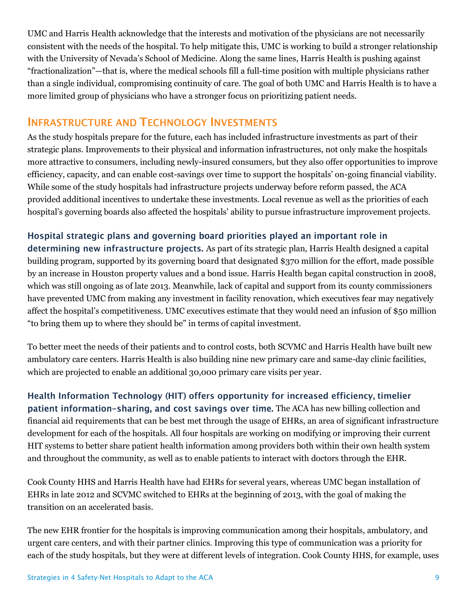UMC and Harris Health acknowledge that the interests and motivation of the physicians are not necessarily consistent with the needs of the hospital. To help mitigate this, UMC is working to build a stronger relationship with the University of Nevada's School of Medicine. Along the same lines, Harris Health is pushing against "fractionalization"—that is, where the medical schools fill a full-time position with multiple physicians rather than a single individual, compromising continuity of care. The goal of both UMC and Harris Health is to have a more limited group of physicians who have a stronger focus on prioritizing patient needs.

#### **INFRASTRUCTURE AND TECHNOLOGY INVESTMENTS**

As the study hospitals prepare for the future, each has included infrastructure investments as part of their strategic plans. Improvements to their physical and information infrastructures, not only make the hospitals more attractive to consumers, including newly-insured consumers, but they also offer opportunities to improve efficiency, capacity, and can enable cost-savings over time to support the hospitals' on-going financial viability. While some of the study hospitals had infrastructure projects underway before reform passed, the ACA provided additional incentives to undertake these investments. Local revenue as well as the priorities of each hospital's governing boards also affected the hospitals' ability to pursue infrastructure improvement projects.

#### Hospital strategic plans and governing board priorities played an important role in

determining new infrastructure projects. As part of its strategic plan, Harris Health designed a capital building program, supported by its governing board that designated \$370 million for the effort, made possible by an increase in Houston property values and a bond issue. Harris Health began capital construction in 2008, which was still ongoing as of late 2013. Meanwhile, lack of capital and support from its county commissioners have prevented UMC from making any investment in facility renovation, which executives fear may negatively affect the hospital's competitiveness. UMC executives estimate that they would need an infusion of \$50 million "to bring them up to where they should be" in terms of capital investment.

To better meet the needs of their patients and to control costs, both SCVMC and Harris Health have built new ambulatory care centers. Harris Health is also building nine new primary care and same-day clinic facilities, which are projected to enable an additional 30,000 primary care visits per year.

Health Information Technology (HIT) offers opportunity for increased efficiency, timelier patient information-sharing, and cost savings over time. The ACA has new billing collection and financial aid requirements that can be best met through the usage of EHRs, an area of significant infrastructure development for each of the hospitals. All four hospitals are working on modifying or improving their current HIT systems to better share patient health information among providers both within their own health system and throughout the community, as well as to enable patients to interact with doctors through the EHR.

Cook County HHS and Harris Health have had EHRs for several years, whereas UMC began installation of EHRs in late 2012 and SCVMC switched to EHRs at the beginning of 2013, with the goal of making the transition on an accelerated basis.

The new EHR frontier for the hospitals is improving communication among their hospitals, ambulatory, and urgent care centers, and with their partner clinics. Improving this type of communication was a priority for each of the study hospitals, but they were at different levels of integration. Cook County HHS, for example, uses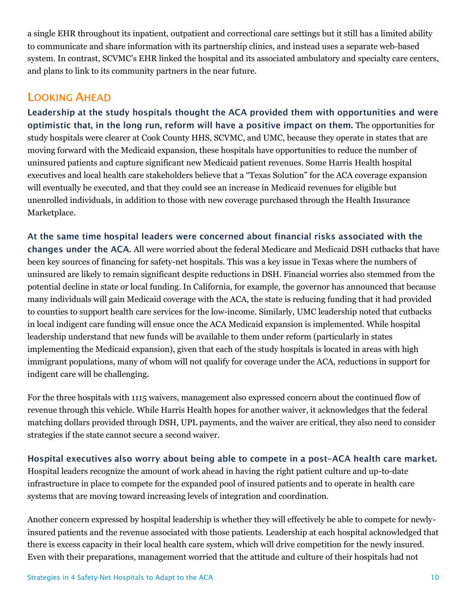a single EHR throughout its inpatient, outpatient and correctional care settings but it still has a limited ability to communicate and share information with its partnership clinics, and instead uses a separate web-based system. In contrast, SCVMC's EHR linked the hospital and its associated ambulatory and specialty care centers, and plans to link to its community partners in the near future.

#### **LOOKING AHEAD**

Leadership at the study hospitals thought the ACA provided them with opportunities and were optimistic that, in the long run, reform will have a positive impact on them. The opportunities for study hospitals were clearer at Cook County HHS, SCVMC, and UMC, because they operate in states that are moving forward with the Medicaid expansion, these hospitals have opportunities to reduce the number of uninsured patients and capture significant new Medicaid patient revenues. Some Harris Health hospital executives and local health care stakeholders believe that a "Texas Solution" for the ACA coverage expansion will eventually be executed, and that they could see an increase in Medicaid revenues for eligible but unenrolled individuals, in addition to those with new coverage purchased through the Health Insurance Marketplace.

At the same time hospital leaders were concerned about financial risks associated with the changes under the ACA. All were worried about the federal Medicare and Medicaid DSH cutbacks that have been key sources of financing for safety-net hospitals. This was a key issue in Texas where the numbers of uninsured are likely to remain significant despite reductions in DSH. Financial worries also stemmed from the potential decline in state or local funding. In California, for example, the governor has announced that because many individuals will gain Medicaid coverage with the ACA, the state is reducing funding that it had provided to counties to support health care services for the low-income. Similarly, UMC leadership noted that cutbacks in local indigent care funding will ensue once the ACA Medicaid expansion is implemented. While hospital leadership understand that new funds will be available to them under reform (particularly in states implementing the Medicaid expansion), given that each of the study hospitals is located in areas with high immigrant populations, many of whom will not qualify for coverage under the ACA, reductions in support for indigent care will be challenging.

For the three hospitals with 1115 waivers, management also expressed concern about the continued flow of revenue through this vehicle. While Harris Health hopes for another waiver, it acknowledges that the federal matching dollars provided through DSH, UPL payments, and the waiver are critical, they also need to consider strategies if the state cannot secure a second waiver.

Hospital executives also worry about being able to compete in a post-ACA health care market. Hospital leaders recognize the amount of work ahead in having the right patient culture and up-to-date infrastructure in place to compete for the expanded pool of insured patients and to operate in health care systems that are moving toward increasing levels of integration and coordination.

Another concern expressed by hospital leadership is whether they will effectively be able to compete for newlyinsured patients and the revenue associated with those patients. Leadership at each hospital acknowledged that there is excess capacity in their local health care system, which will drive competition for the newly insured. Even with their preparations, management worried that the attitude and culture of their hospitals had not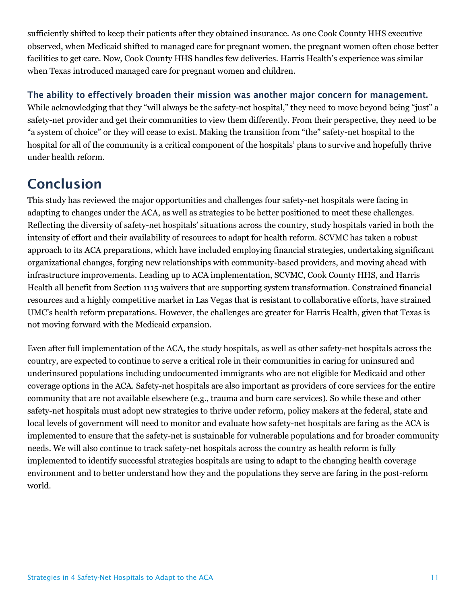sufficiently shifted to keep their patients after they obtained insurance. As one Cook County HHS executive observed, when Medicaid shifted to managed care for pregnant women, the pregnant women often chose better facilities to get care. Now, Cook County HHS handles few deliveries. Harris Health's experience was similar when Texas introduced managed care for pregnant women and children.

#### The ability to effectively broaden their mission was another major concern for management.

While acknowledging that they "will always be the safety-net hospital," they need to move beyond being "just" a safety-net provider and get their communities to view them differently. From their perspective, they need to be "a system of choice" or they will cease to exist. Making the transition from "the" safety-net hospital to the hospital for all of the community is a critical component of the hospitals' plans to survive and hopefully thrive under health reform.

### **Conclusion**

This study has reviewed the major opportunities and challenges four safety-net hospitals were facing in adapting to changes under the ACA, as well as strategies to be better positioned to meet these challenges. Reflecting the diversity of safety-net hospitals' situations across the country, study hospitals varied in both the intensity of effort and their availability of resources to adapt for health reform. SCVMC has taken a robust approach to its ACA preparations, which have included employing financial strategies, undertaking significant organizational changes, forging new relationships with community-based providers, and moving ahead with infrastructure improvements. Leading up to ACA implementation, SCVMC, Cook County HHS, and Harris Health all benefit from Section 1115 waivers that are supporting system transformation. Constrained financial resources and a highly competitive market in Las Vegas that is resistant to collaborative efforts, have strained UMC's health reform preparations. However, the challenges are greater for Harris Health, given that Texas is not moving forward with the Medicaid expansion.

Even after full implementation of the ACA, the study hospitals, as well as other safety-net hospitals across the country, are expected to continue to serve a critical role in their communities in caring for uninsured and underinsured populations including undocumented immigrants who are not eligible for Medicaid and other coverage options in the ACA. Safety-net hospitals are also important as providers of core services for the entire community that are not available elsewhere (e.g., trauma and burn care services). So while these and other safety-net hospitals must adopt new strategies to thrive under reform, policy makers at the federal, state and local levels of government will need to monitor and evaluate how safety-net hospitals are faring as the ACA is implemented to ensure that the safety-net is sustainable for vulnerable populations and for broader community needs. We will also continue to track safety-net hospitals across the country as health reform is fully implemented to identify successful strategies hospitals are using to adapt to the changing health coverage environment and to better understand how they and the populations they serve are faring in the post-reform world.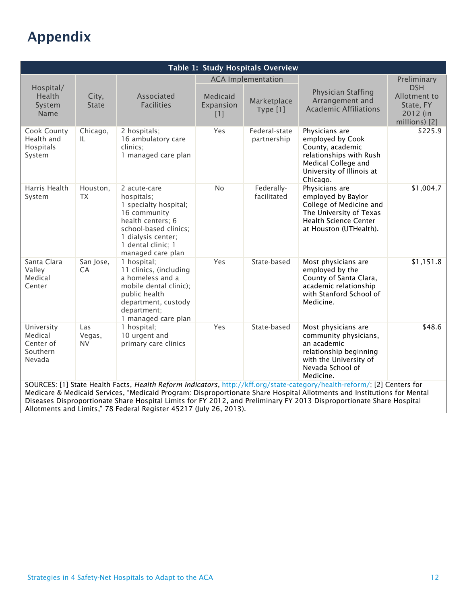## Appendix

| Table 1: Study Hospitals Overview                                                                                                                                                                                                                                                                                                                                                                                                                 |                            |                                                                                                                                                                                    |                                |                                                      |                                                                                                                                                      |                                                                                     |  |
|---------------------------------------------------------------------------------------------------------------------------------------------------------------------------------------------------------------------------------------------------------------------------------------------------------------------------------------------------------------------------------------------------------------------------------------------------|----------------------------|------------------------------------------------------------------------------------------------------------------------------------------------------------------------------------|--------------------------------|------------------------------------------------------|------------------------------------------------------------------------------------------------------------------------------------------------------|-------------------------------------------------------------------------------------|--|
| Hospital/<br>Health<br>System<br>Name                                                                                                                                                                                                                                                                                                                                                                                                             | City,<br><b>State</b>      | Associated<br><b>Facilities</b>                                                                                                                                                    | Medicaid<br>Expansion<br>$[1]$ | <b>ACA Implementation</b><br>Marketplace<br>Type [1] | Physician Staffing<br>Arrangement and<br><b>Academic Affiliations</b>                                                                                | Preliminary<br><b>DSH</b><br>Allotment to<br>State, FY<br>2012 (in<br>millions) [2] |  |
| Cook County<br>Health and<br>Hospitals<br>System                                                                                                                                                                                                                                                                                                                                                                                                  | Chicago,<br>IL.            | 2 hospitals;<br>16 ambulatory care<br>clinics;<br>1 managed care plan                                                                                                              | Yes                            | Federal-state<br>partnership                         | Physicians are<br>employed by Cook<br>County, academic<br>relationships with Rush<br>Medical College and<br>University of Illinois at<br>Chicago.    | \$225.9                                                                             |  |
| Harris Health<br>System                                                                                                                                                                                                                                                                                                                                                                                                                           | Houston,<br><b>TX</b>      | 2 acute-care<br>hospitals;<br>1 specialty hospital;<br>16 community<br>health centers; 6<br>school-based clinics;<br>1 dialysis center;<br>1 dental clinic; 1<br>managed care plan | <b>No</b>                      | Federally-<br>facilitated                            | Physicians are<br>employed by Baylor<br>College of Medicine and<br>The University of Texas<br><b>Health Science Center</b><br>at Houston (UTHealth). | \$1,004.7                                                                           |  |
| Santa Clara<br>Valley<br>Medical<br>Center                                                                                                                                                                                                                                                                                                                                                                                                        | San Jose,<br>CA            | 1 hospital;<br>11 clinics, (including<br>a homeless and a<br>mobile dental clinic);<br>public health<br>department, custody<br>department;<br>1 managed care plan                  | Yes                            | State-based                                          | Most physicians are<br>employed by the<br>County of Santa Clara,<br>academic relationship<br>with Stanford School of<br>Medicine.                    | \$1,151.8                                                                           |  |
| University<br>Medical<br>Center of<br>Southern<br>Nevada                                                                                                                                                                                                                                                                                                                                                                                          | Las<br>Vegas,<br><b>NV</b> | 1 hospital;<br>10 urgent and<br>primary care clinics                                                                                                                               | Yes                            | State-based                                          | Most physicians are<br>community physicians,<br>an academic<br>relationship beginning<br>with the University of<br>Nevada School of<br>Medicine.     | \$48.6                                                                              |  |
| SOURCES: [1] State Health Facts, Health Reform Indicators, http://kff.org/state-category/health-reform/; [2] Centers for<br>Medicare & Medicaid Services, "Medicaid Program: Disproportionate Share Hospital Allotments and Institutions for Mental<br>Diseases Disproportionate Share Hospital Limits for FY 2012, and Preliminary FY 2013 Disproportionate Share Hospital<br>Allotments and Limits," 78 Federal Register 45217 (July 26, 2013). |                            |                                                                                                                                                                                    |                                |                                                      |                                                                                                                                                      |                                                                                     |  |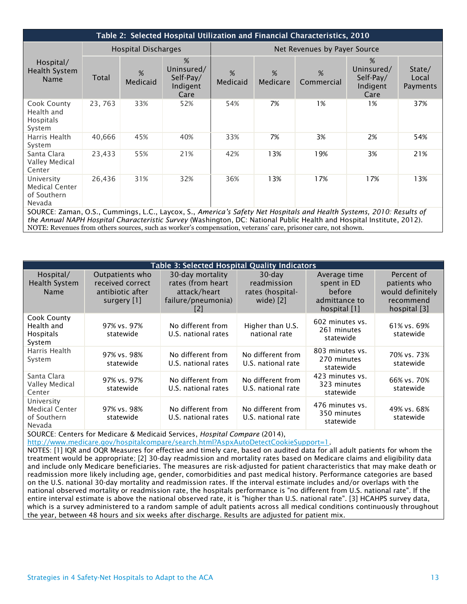| Table 2: Selected Hospital Utilization and Financial Characteristics, 2010                                                                                                                                                                    |                            |               |                                                  |                              |               |                 |                                                  |                             |
|-----------------------------------------------------------------------------------------------------------------------------------------------------------------------------------------------------------------------------------------------|----------------------------|---------------|--------------------------------------------------|------------------------------|---------------|-----------------|--------------------------------------------------|-----------------------------|
| Hospital/<br>Health System<br><b>Name</b>                                                                                                                                                                                                     | <b>Hospital Discharges</b> |               |                                                  | Net Revenues by Payer Source |               |                 |                                                  |                             |
|                                                                                                                                                                                                                                               | Total                      | %<br>Medicaid | %<br>Uninsured/<br>Self-Pay/<br>Indigent<br>Care | %<br>Medicaid                | %<br>Medicare | %<br>Commercial | %<br>Uninsured/<br>Self-Pay/<br>Indigent<br>Care | State/<br>Local<br>Payments |
| Cook County<br>Health and<br>Hospitals<br>System                                                                                                                                                                                              | 23, 763                    | 33%           | 52%                                              | 54%                          | 7%            | 1%              | 1%                                               | 37%                         |
| Harris Health<br>System                                                                                                                                                                                                                       | 40,666                     | 45%           | 40%                                              | 33%                          | 7%            | 3%              | 2%                                               | 54%                         |
| Santa Clara<br>Valley Medical<br>Center                                                                                                                                                                                                       | 23,433                     | 55%           | 21%                                              | 42%                          | 13%           | 19%             | 3%                                               | 21%                         |
| University<br><b>Medical Center</b><br>of Southern<br>Nevada                                                                                                                                                                                  | 26,436                     | 31%           | 32%                                              | 36%                          | 13%           | 17%             | 17%                                              | 13%                         |
| SOURCE: Zaman, O.S., Cummings, L.C., Laycox, S., America's Safety Net Hospitals and Health Systems, 2010: Results of<br>the Annual NAPH Hospital Characteristic Survey (Washington, DC: National Public Health and Hospital Institute, 2012). |                            |               |                                                  |                              |               |                 |                                                  |                             |

NOTE: Revenues from others sources, such as worker's compensation, veterans' care, prisoner care, not shown.

| <b>Table 3: Selected Hospital Quality Indicators</b>         |                                                                        |                                                                                    |                                                           |                                                                        |                                                                             |  |  |
|--------------------------------------------------------------|------------------------------------------------------------------------|------------------------------------------------------------------------------------|-----------------------------------------------------------|------------------------------------------------------------------------|-----------------------------------------------------------------------------|--|--|
| Hospital/<br><b>Health System</b><br><b>Name</b>             | Outpatients who<br>received correct<br>antibiotic after<br>surgery [1] | 30-day mortality<br>rates (from heart<br>attack/heart<br>failure/pneumonia)<br>[2] | $30$ -day<br>readmission<br>rates (hospital-<br>wide) [2] | Average time<br>spent in ED<br>before<br>admittance to<br>hospital [1] | Percent of<br>patients who<br>would definitely<br>recommend<br>hospital [3] |  |  |
| Cook County<br>Health and<br><b>Hospitals</b><br>System      | 97% vs. 97%<br>statewide                                               | No different from<br>U.S. national rates                                           | Higher than U.S.<br>national rate                         | 602 minutes vs.<br>261 minutes<br>statewide                            | 61% vs. 69%<br>statewide                                                    |  |  |
| Harris Health<br>System                                      | 97% vs. 98%<br>statewide                                               | No different from<br>U.S. national rates                                           | No different from<br>U.S. national rate                   | 803 minutes vs.<br>270 minutes<br>statewide                            | 70% vs. 73%<br>statewide                                                    |  |  |
| Santa Clara<br>Valley Medical<br>Center                      | 97% vs. 97%<br>statewide                                               | No different from<br>U.S. national rates                                           | No different from<br>U.S. national rate                   | 423 minutes vs.<br>323 minutes<br>statewide                            | 66% vs. 70%<br>statewide                                                    |  |  |
| University<br><b>Medical Center</b><br>of Southern<br>Nevada | 97% vs. 98%<br>statewide                                               | No different from<br>U.S. national rates                                           | No different from<br>U.S. national rate                   | 476 minutes vs.<br>350 minutes<br>statewide                            | 49% vs. 68%<br>statewide                                                    |  |  |

SOURCE: Centers for Medicare & Medicaid Services, *Hospital Compare* (2014),

[http://www.medicare.gov/hospitalcompare/search.html?AspxAutoDetectCookieSupport=1.](http://www.medicare.gov/hospitalcompare/search.html?AspxAutoDetectCookieSupport=1)

NOTES: [1] IQR and OQR Measures for effective and timely care, based on audited data for all adult patients for whom the treatment would be appropriate; [2] 30-day readmission and mortality rates based on Medicare claims and eligibility data and include only Medicare beneficiaries. The measures are risk-adjusted for patient characteristics that may make death or readmission more likely including age, gender, comorbidities and past medical history. Performance categories are based on the U.S. national 30-day mortality and readmission rates. If the interval estimate includes and/or overlaps with the national observed mortality or readmission rate, the hospitals performance is "no different from U.S. national rate". If the entire interval estimate is above the national observed rate, it is "higher than U.S. national rate". [3] HCAHPS survey data, which is a survey administered to a random sample of adult patients across all medical conditions continuously throughout the year, between 48 hours and six weeks after discharge. Results are adjusted for patient mix.